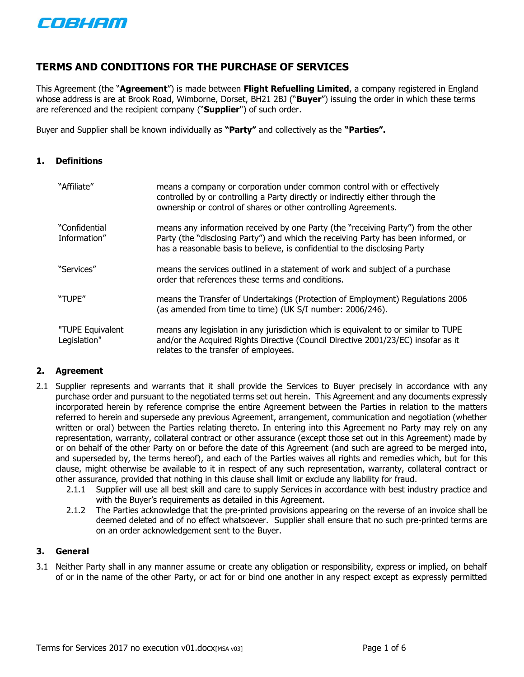

# **TERMS AND CONDITIONS FOR THE PURCHASE OF SERVICES**

This Agreement (the "**Agreement**") is made between **Flight Refuelling Limited**, a company registered in England whose address is are at Brook Road, Wimborne, Dorset, BH21 2BJ ("**Buyer**") issuing the order in which these terms are referenced and the recipient company ("**Supplier**") of such order.

Buyer and Supplier shall be known individually as **"Party"** and collectively as the **"Parties".**

#### **1. Definitions**

| "Affiliate"                      | means a company or corporation under common control with or effectively<br>controlled by or controlling a Party directly or indirectly either through the<br>ownership or control of shares or other controlling Agreements.                           |
|----------------------------------|--------------------------------------------------------------------------------------------------------------------------------------------------------------------------------------------------------------------------------------------------------|
| "Confidential<br>Information"    | means any information received by one Party (the "receiving Party") from the other<br>Party (the "disclosing Party") and which the receiving Party has been informed, or<br>has a reasonable basis to believe, is confidential to the disclosing Party |
| "Services"                       | means the services outlined in a statement of work and subject of a purchase<br>order that references these terms and conditions.                                                                                                                      |
| "TUPE"                           | means the Transfer of Undertakings (Protection of Employment) Regulations 2006<br>(as amended from time to time) (UK S/I number: 2006/246).                                                                                                            |
| "TUPE Equivalent<br>Legislation" | means any legislation in any jurisdiction which is equivalent to or similar to TUPE<br>and/or the Acquired Rights Directive (Council Directive 2001/23/EC) insofar as it<br>relates to the transfer of employees.                                      |

## **2. Agreement**

- 2.1 Supplier represents and warrants that it shall provide the Services to Buyer precisely in accordance with any purchase order and pursuant to the negotiated terms set out herein. This Agreement and any documents expressly incorporated herein by reference comprise the entire Agreement between the Parties in relation to the matters referred to herein and supersede any previous Agreement, arrangement, communication and negotiation (whether written or oral) between the Parties relating thereto. In entering into this Agreement no Party may rely on any representation, warranty, collateral contract or other assurance (except those set out in this Agreement) made by or on behalf of the other Party on or before the date of this Agreement (and such are agreed to be merged into, and superseded by, the terms hereof), and each of the Parties waives all rights and remedies which, but for this clause, might otherwise be available to it in respect of any such representation, warranty, collateral contract or other assurance, provided that nothing in this clause shall limit or exclude any liability for fraud.
	- 2.1.1 Supplier will use all best skill and care to supply Services in accordance with best industry practice and with the Buyer's requirements as detailed in this Agreement.
	- 2.1.2 The Parties acknowledge that the pre-printed provisions appearing on the reverse of an invoice shall be deemed deleted and of no effect whatsoever. Supplier shall ensure that no such pre-printed terms are on an order acknowledgement sent to the Buyer.

#### **3. General**

3.1 Neither Party shall in any manner assume or create any obligation or responsibility, express or implied, on behalf of or in the name of the other Party, or act for or bind one another in any respect except as expressly permitted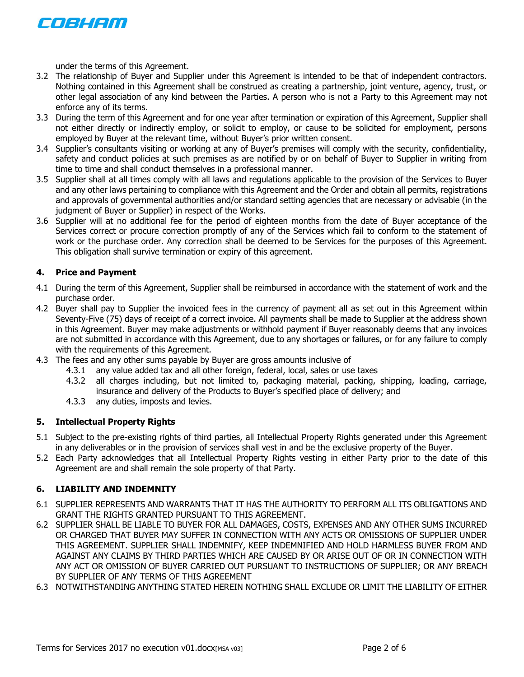

under the terms of this Agreement.

- 3.2 The relationship of Buyer and Supplier under this Agreement is intended to be that of independent contractors. Nothing contained in this Agreement shall be construed as creating a partnership, joint venture, agency, trust, or other legal association of any kind between the Parties. A person who is not a Party to this Agreement may not enforce any of its terms.
- 3.3 During the term of this Agreement and for one year after termination or expiration of this Agreement, Supplier shall not either directly or indirectly employ, or solicit to employ, or cause to be solicited for employment, persons employed by Buyer at the relevant time, without Buyer's prior written consent.
- 3.4 Supplier's consultants visiting or working at any of Buyer's premises will comply with the security, confidentiality, safety and conduct policies at such premises as are notified by or on behalf of Buyer to Supplier in writing from time to time and shall conduct themselves in a professional manner.
- 3.5 Supplier shall at all times comply with all laws and regulations applicable to the provision of the Services to Buyer and any other laws pertaining to compliance with this Agreement and the Order and obtain all permits, registrations and approvals of governmental authorities and/or standard setting agencies that are necessary or advisable (in the judgment of Buyer or Supplier) in respect of the Works.
- <span id="page-1-2"></span>3.6 Supplier will at no additional fee for the period of eighteen months from the date of Buyer acceptance of the Services correct or procure correction promptly of any of the Services which fail to conform to the statement of work or the purchase order. Any correction shall be deemed to be Services for the purposes of this Agreement. This obligation shall survive termination or expiry of this agreement.

## **4. Price and Payment**

- 4.1 During the term of this Agreement, Supplier shall be reimbursed in accordance with the statement of work and the purchase order.
- 4.2 Buyer shall pay to Supplier the invoiced fees in the currency of payment all as set out in this Agreement within Seventy-Five (75) days of receipt of a correct invoice. All payments shall be made to Supplier at the address shown in this Agreement. Buyer may make adjustments or withhold payment if Buyer reasonably deems that any invoices are not submitted in accordance with this Agreement, due to any shortages or failures, or for any failure to comply with the requirements of this Agreement.
- 4.3 The fees and any other sums payable by Buyer are gross amounts inclusive of
	- 4.3.1 any value added tax and all other foreign, federal, local, sales or use taxes
	- 4.3.2 all charges including, but not limited to, packaging material, packing, shipping, loading, carriage, insurance and delivery of the Products to Buyer's specified place of delivery; and
	- 4.3.3 any duties, imposts and levies.

## <span id="page-1-3"></span>**5. Intellectual Property Rights**

- 5.1 Subject to the pre-existing rights of third parties, all Intellectual Property Rights generated under this Agreement in any deliverables or in the provision of services shall vest in and be the exclusive property of the Buyer.
- 5.2 Each Party acknowledges that all Intellectual Property Rights vesting in either Party prior to the date of this Agreement are and shall remain the sole property of that Party.

## <span id="page-1-4"></span>**6. LIABILITY AND INDEMNITY**

- 6.1 SUPPLIER REPRESENTS AND WARRANTS THAT IT HAS THE AUTHORITY TO PERFORM ALL ITS OBLIGATIONS AND GRANT THE RIGHTS GRANTED PURSUANT TO THIS AGREEMENT.
- <span id="page-1-0"></span>6.2 SUPPLIER SHALL BE LIABLE TO BUYER FOR ALL DAMAGES, COSTS, EXPENSES AND ANY OTHER SUMS INCURRED OR CHARGED THAT BUYER MAY SUFFER IN CONNECTION WITH ANY ACTS OR OMISSIONS OF SUPPLIER UNDER THIS AGREEMENT. SUPPLIER SHALL INDEMNIFY, KEEP INDEMNIFIED AND HOLD HARMLESS BUYER FROM AND AGAINST ANY CLAIMS BY THIRD PARTIES WHICH ARE CAUSED BY OR ARISE OUT OF OR IN CONNECTION WITH ANY ACT OR OMISSION OF BUYER CARRIED OUT PURSUANT TO INSTRUCTIONS OF SUPPLIER; OR ANY BREACH BY SUPPLIER OF ANY TERMS OF THIS AGREEMENT
- <span id="page-1-1"></span>6.3 NOTWITHSTANDING ANYTHING STATED HEREIN NOTHING SHALL EXCLUDE OR LIMIT THE LIABILITY OF EITHER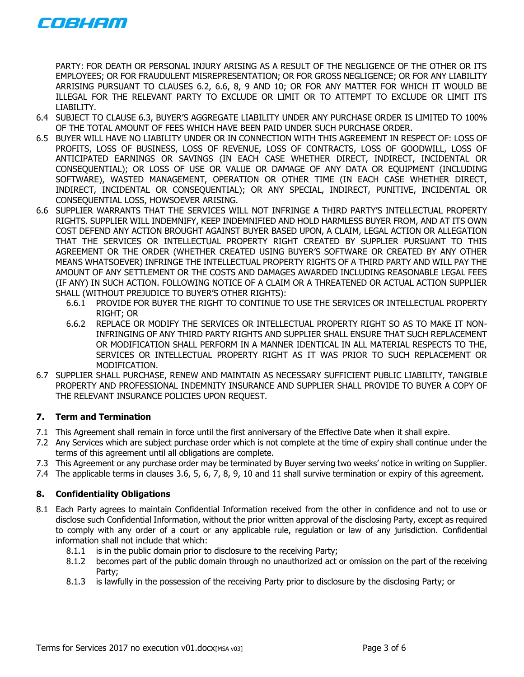

PARTY: FOR DEATH OR PERSONAL INJURY ARISING AS A RESULT OF THE NEGLIGENCE OF THE OTHER OR ITS EMPLOYEES; OR FOR FRAUDULENT MISREPRESENTATION; OR FOR GROSS NEGLIGENCE; OR FOR ANY LIABILITY ARRISING PURSUANT TO CLAUSES [6.2,](#page-1-0) [6.6,](#page-2-0) [8,](#page-2-1) [9](#page-3-0) AND [10;](#page-4-0) OR FOR ANY MATTER FOR WHICH IT WOULD BE ILLEGAL FOR THE RELEVANT PARTY TO EXCLUDE OR LIMIT OR TO ATTEMPT TO EXCLUDE OR LIMIT ITS LIABILITY.

- 6.4 SUBJECT TO CLAUSE [6.3](#page-1-1), BUYER'S AGGREGATE LIABILITY UNDER ANY PURCHASE ORDER IS LIMITED TO 100% OF THE TOTAL AMOUNT OF FEES WHICH HAVE BEEN PAID UNDER SUCH PURCHASE ORDER.
- 6.5 BUYER WILL HAVE NO LIABILITY UNDER OR IN CONNECTION WITH THIS AGREEMENT IN RESPECT OF: LOSS OF PROFITS, LOSS OF BUSINESS, LOSS OF REVENUE, LOSS OF CONTRACTS, LOSS OF GOODWILL, LOSS OF ANTICIPATED EARNINGS OR SAVINGS (IN EACH CASE WHETHER DIRECT, INDIRECT, INCIDENTAL OR CONSEQUENTIAL); OR LOSS OF USE OR VALUE OR DAMAGE OF ANY DATA OR EQUIPMENT (INCLUDING SOFTWARE), WASTED MANAGEMENT, OPERATION OR OTHER TIME (IN EACH CASE WHETHER DIRECT, INDIRECT, INCIDENTAL OR CONSEQUENTIAL); OR ANY SPECIAL, INDIRECT, PUNITIVE, INCIDENTAL OR CONSEQUENTIAL LOSS, HOWSOEVER ARISING.
- <span id="page-2-0"></span>6.6 SUPPLIER WARRANTS THAT THE SERVICES WILL NOT INFRINGE A THIRD PARTY'S INTELLECTUAL PROPERTY RIGHTS. SUPPLIER WILL INDEMNIFY, KEEP INDEMNIFIED AND HOLD HARMLESS BUYER FROM, AND AT ITS OWN COST DEFEND ANY ACTION BROUGHT AGAINST BUYER BASED UPON, A CLAIM, LEGAL ACTION OR ALLEGATION THAT THE SERVICES OR INTELLECTUAL PROPERTY RIGHT CREATED BY SUPPLIER PURSUANT TO THIS AGREEMENT OR THE ORDER (WHETHER CREATED USING BUYER'S SOFTWARE OR CREATED BY ANY OTHER MEANS WHATSOEVER) INFRINGE THE INTELLECTUAL PROPERTY RIGHTS OF A THIRD PARTY AND WILL PAY THE AMOUNT OF ANY SETTLEMENT OR THE COSTS AND DAMAGES AWARDED INCLUDING REASONABLE LEGAL FEES (IF ANY) IN SUCH ACTION. FOLLOWING NOTICE OF A CLAIM OR A THREATENED OR ACTUAL ACTION SUPPLIER SHALL (WITHOUT PREJUDICE TO BUYER'S OTHER RIGHTS):
	- 6.6.1 PROVIDE FOR BUYER THE RIGHT TO CONTINUE TO USE THE SERVICES OR INTELLECTUAL PROPERTY RIGHT; OR
	- 6.6.2 REPLACE OR MODIFY THE SERVICES OR INTELLECTUAL PROPERTY RIGHT SO AS TO MAKE IT NON-INFRINGING OF ANY THIRD PARTY RIGHTS AND SUPPLIER SHALL ENSURE THAT SUCH REPLACEMENT OR MODIFICATION SHALL PERFORM IN A MANNER IDENTICAL IN ALL MATERIAL RESPECTS TO THE, SERVICES OR INTELLECTUAL PROPERTY RIGHT AS IT WAS PRIOR TO SUCH REPLACEMENT OR MODIFICATION.
- 6.7 SUPPLIER SHALL PURCHASE, RENEW AND MAINTAIN AS NECESSARY SUFFICIENT PUBLIC LIABILITY, TANGIBLE PROPERTY AND PROFESSIONAL INDEMNITY INSURANCE AND SUPPLIER SHALL PROVIDE TO BUYER A COPY OF THE RELEVANT INSURANCE POLICIES UPON REQUEST.

# <span id="page-2-2"></span>**7. Term and Termination**

- 7.1 This Agreement shall remain in force until the first anniversary of the Effective Date when it shall expire.
- 7.2 Any Services which are subject purchase order which is not complete at the time of expiry shall continue under the terms of this agreement until all obligations are complete.
- 7.3 This Agreement or any purchase order may be terminated by Buyer serving two weeks' notice in writing on Supplier.
- <span id="page-2-1"></span>7.4 The applicable terms in clauses [3.6,](#page-1-2) [5,](#page-1-3) [6,](#page-1-4) [7,](#page-2-2) [8,](#page-2-1) [9,](#page-3-0) [10](#page-4-0) and [11](#page-5-0) shall survive termination or expiry of this agreement.

## **8. Confidentiality Obligations**

- 8.1 Each Party agrees to maintain Confidential Information received from the other in confidence and not to use or disclose such Confidential Information, without the prior written approval of the disclosing Party, except as required to comply with any order of a court or any applicable rule, regulation or law of any jurisdiction. Confidential information shall not include that which:
	- 8.1.1 is in the public domain prior to disclosure to the receiving Party;
	- 8.1.2 becomes part of the public domain through no unauthorized act or omission on the part of the receiving Party;
	- 8.1.3 is lawfully in the possession of the receiving Party prior to disclosure by the disclosing Party; or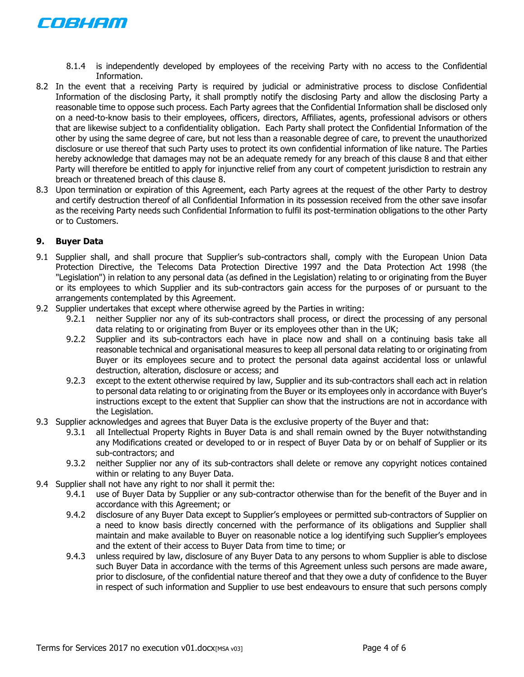

- 8.1.4 is independently developed by employees of the receiving Party with no access to the Confidential Information.
- 8.2 In the event that a receiving Party is required by judicial or administrative process to disclose Confidential Information of the disclosing Party, it shall promptly notify the disclosing Party and allow the disclosing Party a reasonable time to oppose such process. Each Party agrees that the Confidential Information shall be disclosed only on a need-to-know basis to their employees, officers, directors, Affiliates, agents, professional advisors or others that are likewise subject to a confidentiality obligation. Each Party shall protect the Confidential Information of the other by using the same degree of care, but not less than a reasonable degree of care, to prevent the unauthorized disclosure or use thereof that such Party uses to protect its own confidential information of like nature. The Parties hereby acknowledge that damages may not be an adequate remedy for any breach of this clause [8](#page-2-1) and that either Party will therefore be entitled to apply for injunctive relief from any court of competent jurisdiction to restrain any breach or threatened breach of this clause [8.](#page-2-1)
- 8.3 Upon termination or expiration of this Agreement, each Party agrees at the request of the other Party to destroy and certify destruction thereof of all Confidential Information in its possession received from the other save insofar as the receiving Party needs such Confidential Information to fulfil its post-termination obligations to the other Party or to Customers.

## <span id="page-3-0"></span>**9. Buyer Data**

- 9.1 Supplier shall, and shall procure that Supplier's sub-contractors shall, comply with the European Union Data Protection Directive, the Telecoms Data Protection Directive 1997 and the Data Protection Act 1998 (the "Legislation") in relation to any personal data (as defined in the Legislation) relating to or originating from the Buyer or its employees to which Supplier and its sub-contractors gain access for the purposes of or pursuant to the arrangements contemplated by this Agreement.
- 9.2 Supplier undertakes that except where otherwise agreed by the Parties in writing:
	- 9.2.1 neither Supplier nor any of its sub-contractors shall process, or direct the processing of any personal data relating to or originating from Buyer or its employees other than in the UK;
	- 9.2.2 Supplier and its sub-contractors each have in place now and shall on a continuing basis take all reasonable technical and organisational measures to keep all personal data relating to or originating from Buyer or its employees secure and to protect the personal data against accidental loss or unlawful destruction, alteration, disclosure or access; and
	- 9.2.3 except to the extent otherwise required by law, Supplier and its sub-contractors shall each act in relation to personal data relating to or originating from the Buyer or its employees only in accordance with Buyer's instructions except to the extent that Supplier can show that the instructions are not in accordance with the Legislation.
- 9.3 Supplier acknowledges and agrees that Buyer Data is the exclusive property of the Buyer and that:
	- 9.3.1 all Intellectual Property Rights in Buyer Data is and shall remain owned by the Buyer notwithstanding any Modifications created or developed to or in respect of Buyer Data by or on behalf of Supplier or its sub-contractors; and
	- 9.3.2 neither Supplier nor any of its sub-contractors shall delete or remove any copyright notices contained within or relating to any Buyer Data.
- 9.4 Supplier shall not have any right to nor shall it permit the:
	- 9.4.1 use of Buyer Data by Supplier or any sub-contractor otherwise than for the benefit of the Buyer and in accordance with this Agreement; or
	- 9.4.2 disclosure of any Buyer Data except to Supplier's employees or permitted sub-contractors of Supplier on a need to know basis directly concerned with the performance of its obligations and Supplier shall maintain and make available to Buyer on reasonable notice a log identifying such Supplier's employees and the extent of their access to Buyer Data from time to time; or
	- 9.4.3 unless required by law, disclosure of any Buyer Data to any persons to whom Supplier is able to disclose such Buyer Data in accordance with the terms of this Agreement unless such persons are made aware, prior to disclosure, of the confidential nature thereof and that they owe a duty of confidence to the Buyer in respect of such information and Supplier to use best endeavours to ensure that such persons comply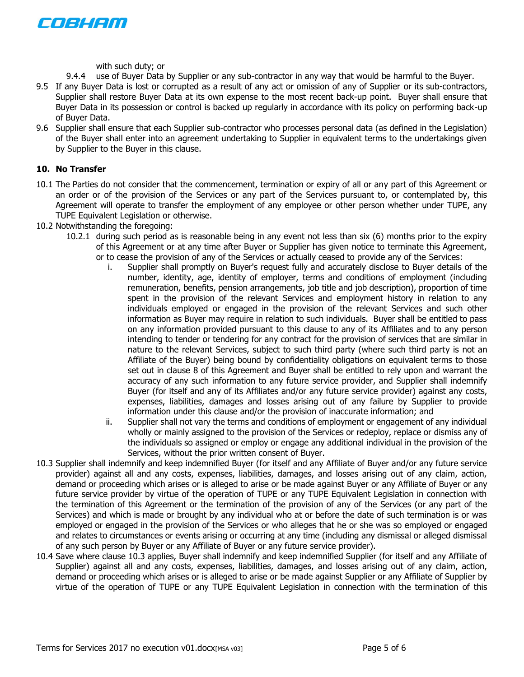

with such duty; or

- 9.4.4 use of Buyer Data by Supplier or any sub-contractor in any way that would be harmful to the Buyer.
- 9.5 If any Buyer Data is lost or corrupted as a result of any act or omission of any of Supplier or its sub-contractors, Supplier shall restore Buyer Data at its own expense to the most recent back-up point. Buyer shall ensure that Buyer Data in its possession or control is backed up regularly in accordance with its policy on performing back-up of Buyer Data.
- 9.6 Supplier shall ensure that each Supplier sub-contractor who processes personal data (as defined in the Legislation) of the Buyer shall enter into an agreement undertaking to Supplier in equivalent terms to the undertakings given by Supplier to the Buyer in this clause.

## <span id="page-4-0"></span>**10. No Transfer**

- 10.1 The Parties do not consider that the commencement, termination or expiry of all or any part of this Agreement or an order or of the provision of the Services or any part of the Services pursuant to, or contemplated by, this Agreement will operate to transfer the employment of any employee or other person whether under TUPE, any TUPE Equivalent Legislation or otherwise.
- 10.2 Notwithstanding the foregoing:
	- 10.2.1 during such period as is reasonable being in any event not less than six (6) months prior to the expiry of this Agreement or at any time after Buyer or Supplier has given notice to terminate this Agreement, or to cease the provision of any of the Services or actually ceased to provide any of the Services:
		- i. Supplier shall promptly on Buyer's request fully and accurately disclose to Buyer details of the number, identity, age, identity of employer, terms and conditions of employment (including remuneration, benefits, pension arrangements, job title and job description), proportion of time spent in the provision of the relevant Services and employment history in relation to any individuals employed or engaged in the provision of the relevant Services and such other information as Buyer may require in relation to such individuals. Buyer shall be entitled to pass on any information provided pursuant to this clause to any of its Affiliates and to any person intending to tender or tendering for any contract for the provision of services that are similar in nature to the relevant Services, subject to such third party (where such third party is not an Affiliate of the Buyer) being bound by confidentiality obligations on equivalent terms to those set out in clause [8](#page-2-1) of this Agreement and Buyer shall be entitled to rely upon and warrant the accuracy of any such information to any future service provider, and Supplier shall indemnify Buyer (for itself and any of its Affiliates and/or any future service provider) against any costs, expenses, liabilities, damages and losses arising out of any failure by Supplier to provide information under this clause and/or the provision of inaccurate information; and
		- ii. Supplier shall not vary the terms and conditions of employment or engagement of any individual wholly or mainly assigned to the provision of the Services or redeploy, replace or dismiss any of the individuals so assigned or employ or engage any additional individual in the provision of the Services, without the prior written consent of Buyer.
- <span id="page-4-1"></span>10.3 Supplier shall indemnify and keep indemnified Buyer (for itself and any Affiliate of Buyer and/or any future service provider) against all and any costs, expenses, liabilities, damages, and losses arising out of any claim, action, demand or proceeding which arises or is alleged to arise or be made against Buyer or any Affiliate of Buyer or any future service provider by virtue of the operation of TUPE or any TUPE Equivalent Legislation in connection with the termination of this Agreement or the termination of the provision of any of the Services (or any part of the Services) and which is made or brought by any individual who at or before the date of such termination is or was employed or engaged in the provision of the Services or who alleges that he or she was so employed or engaged and relates to circumstances or events arising or occurring at any time (including any dismissal or alleged dismissal of any such person by Buyer or any Affiliate of Buyer or any future service provider).
- 10.4 Save where clause [10.3](#page-4-1) applies, Buyer shall indemnify and keep indemnified Supplier (for itself and any Affiliate of Supplier) against all and any costs, expenses, liabilities, damages, and losses arising out of any claim, action, demand or proceeding which arises or is alleged to arise or be made against Supplier or any Affiliate of Supplier by virtue of the operation of TUPE or any TUPE Equivalent Legislation in connection with the termination of this